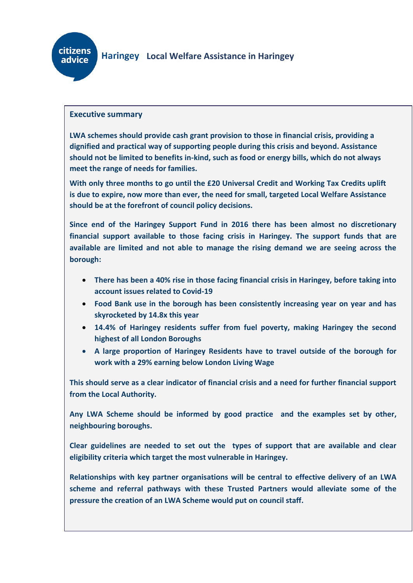

### **Executive summary**

**LWA schemes should provide cash grant provision to those in financial crisis, providing a dignified and practical way of supporting people during this crisis and beyond. Assistance should not be limited to benefits in-kind, such as food or energy bills, which do not always meet the range of needs for families.**

**With only three months to go until the £20 Universal Credit and Working Tax Credits uplift is due to expire, now more than ever, the need for small, targeted Local Welfare Assistance should be at the forefront of council policy decisions.**

**Since end of the Haringey Support Fund in 2016 there has been almost no discretionary financial support available to those facing crisis in Haringey. The support funds that are available are limited and not able to manage the rising demand we are seeing across the borough:**

- **There has been a 40% rise in those facing financial crisis in Haringey, before taking into account issues related to Covid-19**
- **Food Bank use in the borough has been consistently increasing year on year and has skyrocketed by 14.8x this year**
- **14.4% of Haringey residents suffer from fuel poverty, making Haringey the second highest of all London Boroughs**
- **A large proportion of Haringey Residents have to travel outside of the borough for work with a 29% earning below London Living Wage**

**This should serve as a clear indicator of financial crisis and a need for further financial support from the Local Authority.**

**Any LWA Scheme should be informed by good practice and the examples set by other, neighbouring boroughs.**

**Clear guidelines are needed to set out the types of support that are available and clear eligibility criteria which target the most vulnerable in Haringey.**

**Relationships with key partner organisations will be central to effective delivery of an LWA scheme and referral pathways with these Trusted Partners would alleviate some of the pressure the creation of an LWA Scheme would put on council staff.**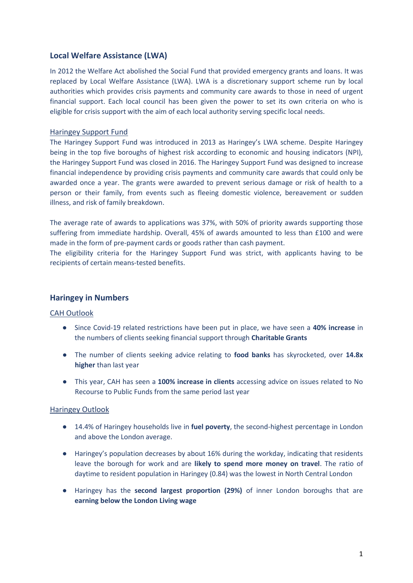### **Local Welfare Assistance (LWA)**

In 2012 the Welfare Act abolished the Social Fund that provided emergency grants and loans. It was replaced by Local Welfare Assistance (LWA). LWA is a discretionary support scheme run by local authorities which provides crisis payments and community care awards to those in need of urgent financial support. Each local council has been given the power to set its own criteria on who is eligible for crisis support with the aim of each local authority serving specific local needs.

### Haringey Support Fund

The Haringey Support Fund was introduced in 2013 as Haringey's LWA scheme. Despite Haringey being in the top five boroughs of highest risk according to economic and housing indicators (NPI), the Haringey Support Fund was closed in 2016. The Haringey Support Fund was designed to increase financial independence by providing crisis payments and community care awards that could only be awarded once a year. The grants were awarded to prevent serious damage or risk of health to a person or their family, from events such as fleeing domestic violence, bereavement or sudden illness, and risk of family breakdown.

The average rate of awards to applications was 37%, with 50% of priority awards supporting those suffering from immediate hardship. Overall, 45% of awards amounted to less than £100 and were made in the form of pre-payment cards or goods rather than cash payment.

The eligibility criteria for the Haringey Support Fund was strict, with applicants having to be recipients of certain means-tested benefits.

### **Haringey in Numbers**

#### CAH Outlook

- Since Covid-19 related restrictions have been put in place, we have seen a **40% increase** in the numbers of clients seeking financial support through **Charitable Grants**
- The number of clients seeking advice relating to **food banks** has skyrocketed, over **14.8x higher** than last year
- This year, CAH has seen a **100% increase in clients** accessing advice on issues related to No Recourse to Public Funds from the same period last year

### Haringey Outlook

- 14.4% of Haringey households live in **fuel poverty**, the second-highest percentage in London and above the London average.
- Haringey's population decreases by about 16% during the workday, indicating that residents leave the borough for work and are **likely to spend more money on travel**. The ratio of daytime to resident population in Haringey (0.84) was the lowest in North Central London
- Haringey has the **second largest proportion (29%)** of inner London boroughs that are **earning below the London Living wage**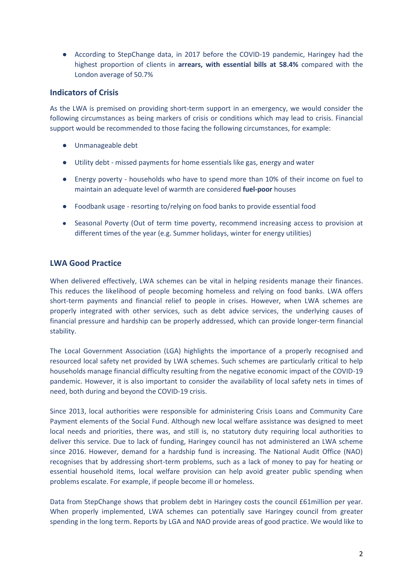● According to StepChange data, in 2017 before the COVID-19 pandemic, Haringey had the highest proportion of clients in **arrears, with essential bills at 58.4%** compared with the London average of 50.7%

### **Indicators of Crisis**

As the LWA is premised on providing short-term support in an emergency, we would consider the following circumstances as being markers of crisis or conditions which may lead to crisis. Financial support would be recommended to those facing the following circumstances, for example:

- Unmanageable debt
- Utility debt missed payments for home essentials like gas, energy and water
- Energy poverty households who have to spend more than 10% of their income on fuel to maintain an adequate level of warmth are considered **fuel-poor** houses
- Foodbank usage resorting to/relying on food banks to provide essential food
- Seasonal Poverty (Out of term time poverty, recommend increasing access to provision at different times of the year (e.g. Summer holidays, winter for energy utilities)

## **LWA Good Practice**

When delivered effectively, LWA schemes can be vital in helping residents manage their finances. This reduces the likelihood of people becoming homeless and relying on food banks. LWA offers short-term payments and financial relief to people in crises. However, when LWA schemes are properly integrated with other services, such as debt advice services, the underlying causes of financial pressure and hardship can be properly addressed, which can provide longer-term financial stability.

The Local Government Association (LGA) highlights the importance of a properly recognised and resourced local safety net provided by LWA schemes. Such schemes are particularly critical to help households manage financial difficulty resulting from the negative economic impact of the COVID-19 pandemic. However, it is also important to consider the availability of local safety nets in times of need, both during and beyond the COVID-19 crisis.

Since 2013, local authorities were responsible for administering Crisis Loans and Community Care Payment elements of the Social Fund. Although new local welfare assistance was designed to meet local needs and priorities, there was, and still is, no statutory duty requiring local authorities to deliver this service. Due to lack of funding, Haringey council has not administered an LWA scheme since 2016. However, demand for a hardship fund is increasing. The National Audit Office (NAO) recognises that by addressing short-term problems, such as a lack of money to pay for heating or essential household items, local welfare provision can help avoid greater public spending when problems escalate. For example, if people become ill or homeless.

Data from StepChange shows that problem debt in Haringey costs the council £61million per year. When properly implemented, LWA schemes can potentially save Haringey council from greater spending in the long term. Reports by LGA and NAO provide areas of good practice. We would like to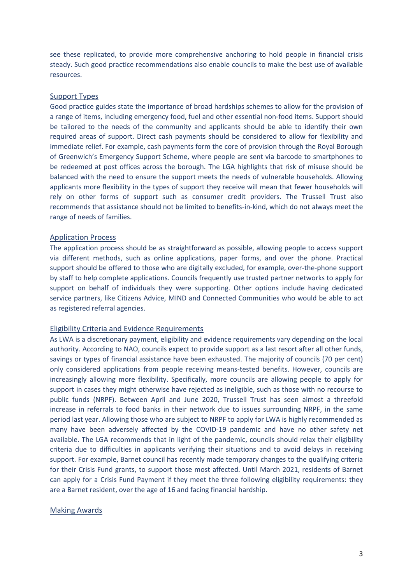see these replicated, to provide more comprehensive anchoring to hold people in financial crisis steady. Such good practice recommendations also enable councils to make the best use of available resources.

#### Support Types

Good practice guides state the importance of broad hardships schemes to allow for the provision of a range of items, including emergency food, fuel and other essential non-food items. Support should be tailored to the needs of the community and applicants should be able to identify their own required areas of support. Direct cash payments should be considered to allow for flexibility and immediate relief. For example, cash payments form the core of provision through the Royal Borough of Greenwich's Emergency Support Scheme, where people are sent via barcode to smartphones to be redeemed at post offices across the borough. The LGA highlights that risk of misuse should be balanced with the need to ensure the support meets the needs of vulnerable households. Allowing applicants more flexibility in the types of support they receive will mean that fewer households will rely on other forms of support such as consumer credit providers. The Trussell Trust also recommends that assistance should not be limited to benefits-in-kind, which do not always meet the range of needs of families.

#### Application Process

The application process should be as straightforward as possible, allowing people to access support via different methods, such as online applications, paper forms, and over the phone. Practical support should be offered to those who are digitally excluded, for example, over-the-phone support by staff to help complete applications. Councils frequently use trusted partner networks to apply for support on behalf of individuals they were supporting. Other options include having dedicated service partners, like Citizens Advice, MIND and Connected Communities who would be able to act as registered referral agencies.

#### Eligibility Criteria and Evidence Requirements

As LWA is a discretionary payment, eligibility and evidence requirements vary depending on the local authority. According to NAO, councils expect to provide support as a last resort after all other funds, savings or types of financial assistance have been exhausted. The majority of councils (70 per cent) only considered applications from people receiving means-tested benefits. However, councils are increasingly allowing more flexibility. Specifically, more councils are allowing people to apply for support in cases they might otherwise have rejected as ineligible, such as those with no recourse to public funds (NRPF). Between April and June 2020, Trussell Trust has seen almost a threefold increase in referrals to food banks in their network due to issues surrounding NRPF, in the same period last year. Allowing those who are subject to NRPF to apply for LWA is highly recommended as many have been adversely affected by the COVID-19 pandemic and have no other safety net available. The LGA recommends that in light of the pandemic, councils should relax their eligibility criteria due to difficulties in applicants verifying their situations and to avoid delays in receiving support. For example, Barnet council has recently made temporary changes to the qualifying criteria for their Crisis Fund grants, to support those most affected. Until March 2021, residents of Barnet can apply for a Crisis Fund Payment if they meet the three following eligibility requirements: they are a Barnet resident, over the age of 16 and facing financial hardship.

#### Making Awards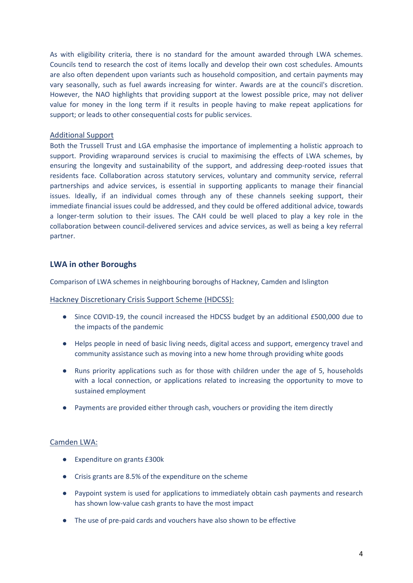As with eligibility criteria, there is no standard for the amount awarded through LWA schemes. Councils tend to research the cost of items locally and develop their own cost schedules. Amounts are also often dependent upon variants such as household composition, and certain payments may vary seasonally, such as fuel awards increasing for winter. Awards are at the council's discretion. However, the NAO highlights that providing support at the lowest possible price, may not deliver value for money in the long term if it results in people having to make repeat applications for support; or leads to other consequential costs for public services.

#### Additional Support

Both the Trussell Trust and LGA emphasise the importance of implementing a holistic approach to support. Providing wraparound services is crucial to maximising the effects of LWA schemes, by ensuring the longevity and sustainability of the support, and addressing deep-rooted issues that residents face. Collaboration across statutory services, voluntary and community service, referral partnerships and advice services, is essential in supporting applicants to manage their financial issues. Ideally, if an individual comes through any of these channels seeking support, their immediate financial issues could be addressed, and they could be offered additional advice, towards a longer-term solution to their issues. The CAH could be well placed to play a key role in the collaboration between council-delivered services and advice services, as well as being a key referral partner.

## **LWA in other Boroughs**

Comparison of LWA schemes in neighbouring boroughs of Hackney, Camden and Islington

#### Hackney Discretionary Crisis Support Scheme (HDCSS):

- Since COVID-19, the council increased the HDCSS budget by an additional £500,000 due to the impacts of the pandemic
- Helps people in need of basic living needs, digital access and support, emergency travel and community assistance such as moving into a new home through providing white goods
- Runs priority applications such as for those with children under the age of 5, households with a local connection, or applications related to increasing the opportunity to move to sustained employment
- Payments are provided either through cash, vouchers or providing the item directly

#### Camden LWA:

- Expenditure on grants £300k
- Crisis grants are 8.5% of the expenditure on the scheme
- Paypoint system is used for applications to immediately obtain cash payments and research has shown low-value cash grants to have the most impact
- The use of pre-paid cards and vouchers have also shown to be effective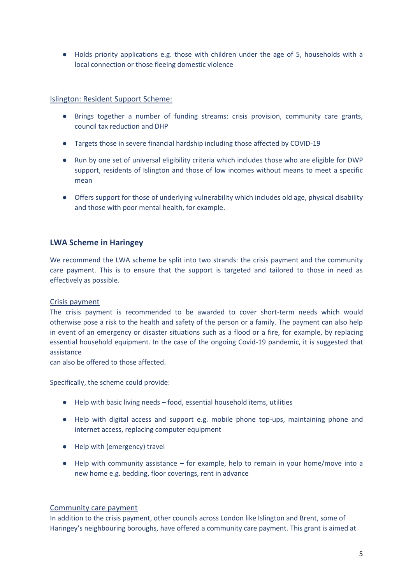● Holds priority applications e.g. those with children under the age of 5, households with a local connection or those fleeing domestic violence

Islington: Resident Support Scheme:

- Brings together a number of funding streams: crisis provision, community care grants, council tax reduction and DHP
- Targets those in severe financial hardship including those affected by COVID-19
- Run by one set of universal eligibility criteria which includes those who are eligible for DWP support, residents of Islington and those of low incomes without means to meet a specific mean
- Offers support for those of underlying vulnerability which includes old age, physical disability and those with poor mental health, for example.

## **LWA Scheme in Haringey**

We recommend the LWA scheme be split into two strands: the crisis payment and the community care payment. This is to ensure that the support is targeted and tailored to those in need as effectively as possible.

#### Crisis payment

The crisis payment is recommended to be awarded to cover short-term needs which would otherwise pose a risk to the health and safety of the person or a family. The payment can also help in event of an emergency or disaster situations such as a flood or a fire, for example, by replacing essential household equipment. In the case of the ongoing Covid-19 pandemic, it is suggested that assistance

can also be offered to those affected.

Specifically, the scheme could provide:

- Help with basic living needs food, essential household items, utilities
- Help with digital access and support e.g. mobile phone top-ups, maintaining phone and internet access, replacing computer equipment
- Help with (emergency) travel
- $\bullet$  Help with community assistance for example, help to remain in your home/move into a new home e.g. bedding, floor coverings, rent in advance

#### Community care payment

In addition to the crisis payment, other councils across London like Islington and Brent, some of Haringey's neighbouring boroughs, have offered a community care payment. This grant is aimed at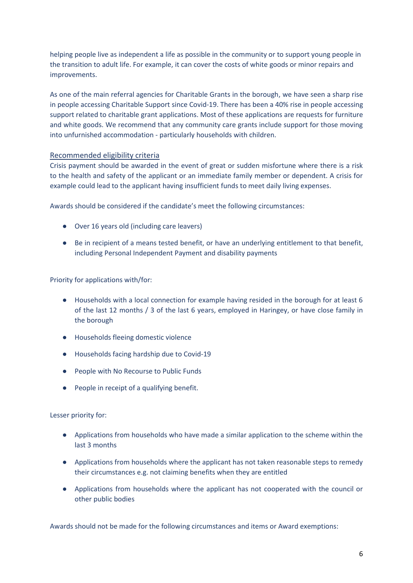helping people live as independent a life as possible in the community or to support young people in the transition to adult life. For example, it can cover the costs of white goods or minor repairs and improvements.

As one of the main referral agencies for Charitable Grants in the borough, we have seen a sharp rise in people accessing Charitable Support since Covid-19. There has been a 40% rise in people accessing support related to charitable grant applications. Most of these applications are requests for furniture and white goods. We recommend that any community care grants include support for those moving into unfurnished accommodation - particularly households with children.

### Recommended eligibility criteria

Crisis payment should be awarded in the event of great or sudden misfortune where there is a risk to the health and safety of the applicant or an immediate family member or dependent. A crisis for example could lead to the applicant having insufficient funds to meet daily living expenses.

Awards should be considered if the candidate's meet the following circumstances:

- Over 16 years old (including care leavers)
- Be in recipient of a means tested benefit, or have an underlying entitlement to that benefit, including Personal Independent Payment and disability payments

Priority for applications with/for:

- Households with a local connection for example having resided in the borough for at least 6 of the last 12 months / 3 of the last 6 years, employed in Haringey, or have close family in the borough
- Households fleeing domestic violence
- Households facing hardship due to Covid-19
- People with No Recourse to Public Funds
- People in receipt of a qualifying benefit.

Lesser priority for:

- Applications from households who have made a similar application to the scheme within the last 3 months
- Applications from households where the applicant has not taken reasonable steps to remedy their circumstances e.g. not claiming benefits when they are entitled
- Applications from households where the applicant has not cooperated with the council or other public bodies

Awards should not be made for the following circumstances and items or Award exemptions: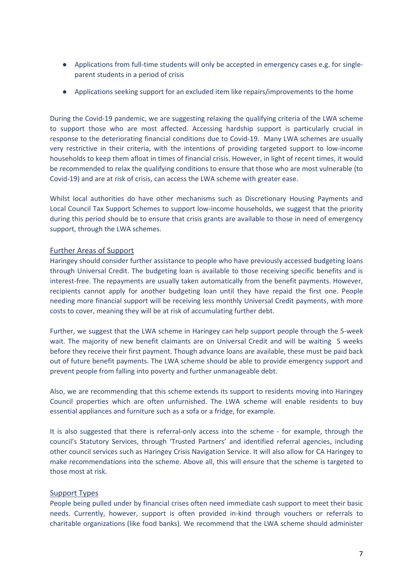- Applications from full-time students will only be accepted in emergency cases e.g. for singleparent students in a period of crisis
- Applications seeking support for an excluded item like repairs/improvements to the home

During the Covid-19 pandemic, we are suggesting relaxing the qualifying criteria of the LWA scheme to support those who are most affected. Accessing hardship support is particularly crucial in response to the deteriorating financial conditions due to Covid-19. Many LWA schemes are usually very restrictive in their criteria, with the intentions of providing targeted support to low-income households to keep them afloat in times of financial crisis. However, in light of recent times, it would be recommended to relax the qualifying conditions to ensure that those who are most vulnerable (to Covid-19) and are at risk of crisis, can access the LWA scheme with greater ease.

Whilst local authorities do have other mechanisms such as Discretionary Housing Payments and Local Council Tax Support Schemes to support low-income households, we suggest that the priority during this period should be to ensure that crisis grants are available to those in need of emergency support, through the LWA schemes.

#### Further Areas of Support

Haringey should consider further assistance to people who have previously accessed budgeting loans through Universal Credit. The budgeting loan is available to those receiving specific benefits and is interest-free. The repayments are usually taken automatically from the benefit payments. However, recipients cannot apply for another budgeting loan until they have repaid the first one. People needing more financial support will be receiving less monthly Universal Credit payments, with more costs to cover, meaning they will be at risk of accumulating further debt.

Further, we suggest that the LWA scheme in Haringey can help support people through the 5-week wait. The majority of new benefit claimants are on Universal Credit and will be waiting 5 weeks before they receive their first payment. Though advance loans are available, these must be paid back out of future benefit payments. The LWA scheme should be able to provide emergency support and prevent people from falling into poverty and further unmanageable debt.

Also, we are recommending that this scheme extends its support to residents moving into Haringey Council properties which are often unfurnished. The LWA scheme will enable residents to buy essential appliances and furniture such as a sofa or a fridge, for example.

It is also suggested that there is referral-only access into the scheme - for example, through the council's Statutory Services, through 'Trusted Partners' and identified referral agencies, including other council services such as Haringey Crisis Navigation Service. It will also allow for CA Haringey to make recommendations into the scheme. Above all, this will ensure that the scheme is targeted to those most at risk.

#### Support Types

People being pulled under by financial crises often need immediate cash support to meet their basic needs. Currently, however, support is often provided in-kind through vouchers or referrals to charitable organizations (like food banks). We recommend that the LWA scheme should administer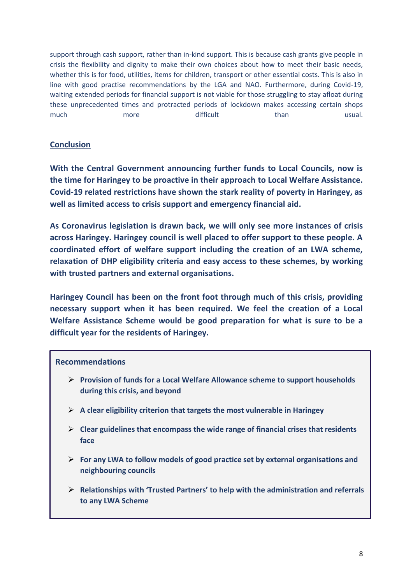support through cash support, rather than in-kind support. This is because cash grants give people in crisis the flexibility and dignity to make their own choices about how to meet their basic needs, whether this is for food, utilities, items for children, transport or other essential costs. This is also in line with good practise recommendations by the LGA and NAO. Furthermore, during Covid-19, waiting extended periods for financial support is not viable for those struggling to stay afloat during these unprecedented times and protracted periods of lockdown makes accessing certain shops much more more difficult than than usual.

# **Conclusion**

**With the Central Government announcing further funds to Local Councils, now is the time for Haringey to be proactive in their approach to Local Welfare Assistance. Covid-19 related restrictions have shown the stark reality of poverty in Haringey, as well as limited access to crisis support and emergency financial aid.** 

**As Coronavirus legislation is drawn back, we will only see more instances of crisis across Haringey. Haringey council is well placed to offer support to these people. A coordinated effort of welfare support including the creation of an LWA scheme, relaxation of DHP eligibility criteria and easy access to these schemes, by working with trusted partners and external organisations.** 

**Haringey Council has been on the front foot through much of this crisis, providing necessary support when it has been required. We feel the creation of a Local Welfare Assistance Scheme would be good preparation for what is sure to be a difficult year for the residents of Haringey.** 

## **Recommendations**

- **Provision of funds for a Local Welfare Allowance scheme to support households during this crisis, and beyond**
- **A clear eligibility criterion that targets the most vulnerable in Haringey**
- **Clear guidelines that encompass the wide range of financial crises that residents face**
- **For any LWA to follow models of good practice set by external organisations and neighbouring councils**
- **Relationships with 'Trusted Partners' to help with the administration and referrals to any LWA Scheme**

**A Co-ordinated Welfare Support effort which seeks easier access to all forms of**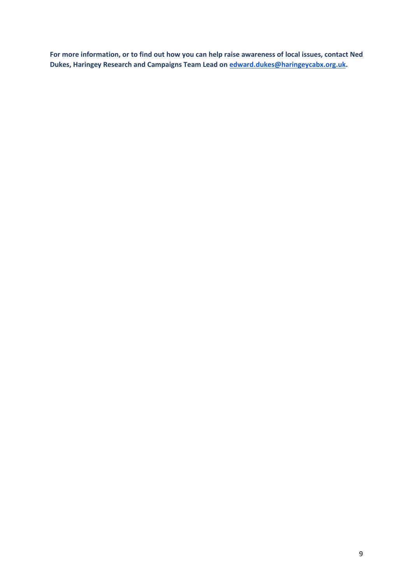**For more information, or to find out how you can help raise awareness of local issues, contact Ned Dukes, Haringey Research and Campaigns Team Lead on [edward.dukes@haringeycabx.org.uk.](mailto:edward.dukes@haringeycabx.org.uk)**